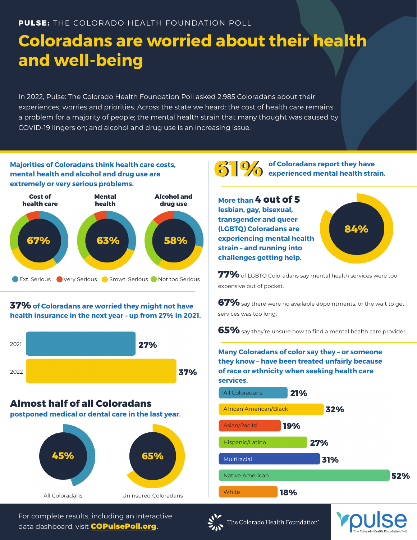# **Coloradans are worried about their health and well-being**

In 2022, Pulse: The Colorado Health Foundation Poll asked 2,985 Coloradans about their experiences, worries and priorities. Across the state we heard: the cost of health care remains a problem for a majority of people; the mental health strain that many thought was caused by COVID-19 lingers on; and alcohol and drug use is an increasing issue.

**Majorities of Coloradans think health care costs, mental health and alcohol and drug use are extremely or very serious problems.**



## **37% of Coloradans are worried they might not have health insurance in the next year – up from 27% in 2021.**



## **Almost half of all Coloradans**

**postponed medical or dental care in the last year.**



For complete results, including an interactive data dashboard, visit COPulsePoll.org**.**

**610 of Coloradans report they have 61 experienced mental health strain.** 

**More than 4 out of 5 lesbian, gay, bisexual, transgender and queer (LGBTQ) Coloradans are experiencing mental health strain – and running into challenges getting help.**



**77%** of LGBTQ Coloradans say mental health services were too expensive out of pocket.

**67%** say there were no available appointments, or the wait to get services was too long.

**65%** say they're unsure how to find a mental health care provider.

**Many Coloradans of color say they – or someone they know – have been treated unfairly because of race or ethnicity when seeking health care services.**





The Colorado Health Foundation"